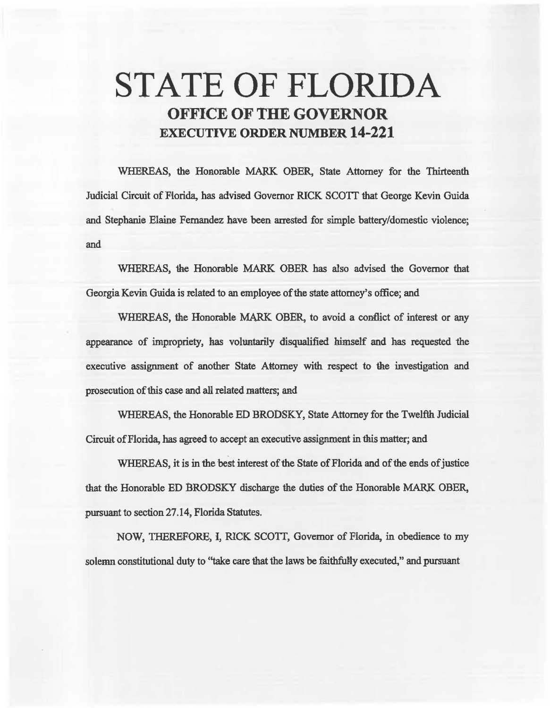# STATE OF FLORIDA OFFICE OF THE GOVERNOR EXECUTIVE ORDER NUMBER 14-221

WHEREAS, the Honorable MARK OBER, State Attorney for the Thirteenth Judicial Circuit of Florida, has advised Governor RICK SCOTI that George Kevin Guida and Stephanie Elaine Fernandez have been arrested for simple battery/domestic violence; and

WHEREAS, the Honorable MARK OBER has also advised the Governor that Georgia Kevin. Guida is related to an employee of the state attorney's office; and

WHEREAS, the Honorable MARK OBER, to avoid a contlict of interest or aay appearance of impropriety, has vohmtarily disqualified himself and has requested the execative assignment of another State Attorney with respect to the investigation and prosecution of this case and all related matters; and

WHEREAS, the Honorable ED BRODSKY, State Attorney for the Twelfth Judicial Circuit of Florida, has agreed to accept an executive assignment in this matter; and

WHEREAS, it is in the best interest of the State of Florida and of the ends of justice that the Honorable ED BRODSKY discharge the duties of the Honorable MARK OBER, pursuant to section 27 .14, Florida Statutes.

NOW, THEREFORE, I, RICK SCOTT, Governor of Florida, in obedience to my solemn constitutional duty to "take care that the laws be faithfully executed," and pursuant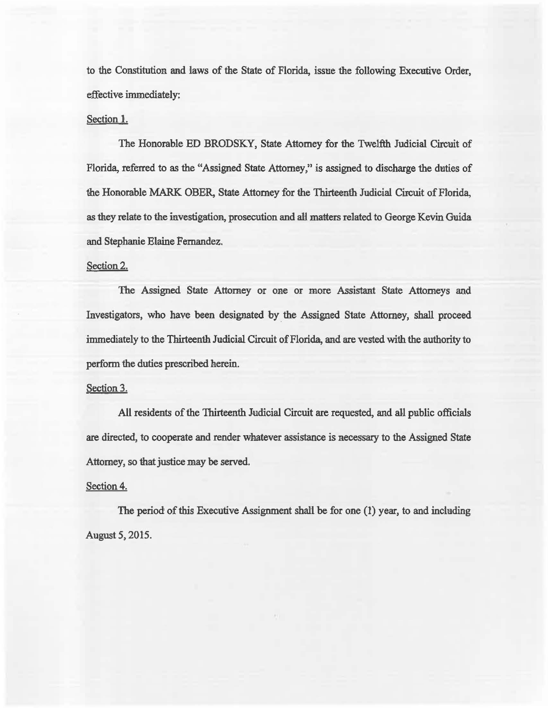to the Constitution and laws of the State of Florida, issue the following Executive Order, effective immediately:

### Section 1.

The Honorable ED BRODSKY, State Attorney for the Twelfth Judicial Circuit of Florida, referred to as the "Assigned State Attorney," is assigned to discharge the duties of the Honorable MARK OBER, State Attorney for the Thirteenth Judicial Circuit of Florida, as they relate to the investigation, prosecution and all matters related to George Kevin Guida and Stephanie Elaine Fernandez.

#### Section 2.

The Assigned State Attorney or one or more Assistant State Attorneys and Investigators, who have been designated by the Assigned State Attorney, shall proceed immediately to the Thirteenth Judicial Circuit of Florida, and are vested with the authority to perform the duties prescribed herein.

## Section 3.

All residents of the Thirteenth Judicial Circuit are requested, and all public officials are directed, to cooperate and render whatever assistance is necessary to the Assigned State Attorney, so that justice may be served.

#### Section 4.

The period of this Executive Assignment shall be for one (1) year, to and including August 5, 2015.